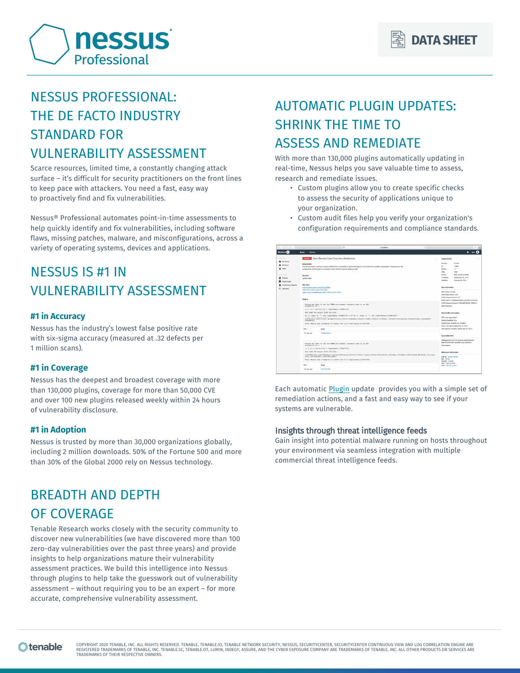

# NESSUS PROFESSIONAL: THE DE FACTO INDUSTRY STANDARD FOR VULNERABILITY ASSESSMENT

Scarce resources, limited time, a constantly changing attack surface – it's difficult for security practitioners on the front lines to keep pace with attackers. You need a fast, easy way to proactively find and fix vulnerabilities.

Nessus® Professional automates point-in-time assessments to help quickly identify and fix vulnerabilities, including software flaws, missing patches, malware, and misconfigurations, across a variety of operating systems, devices and applications.

# NESSUS IS #1 IN VULNERABILITY ASSESSMENT

### **#1 in Accuracy**

Nessus has the industry's lowest false positive rate with six-sigma accuracy (measured at .32 defects per 1 million scans).

### **#1 in Coverage**

Nessus has the deepest and broadest coverage with more than 130,000 plugins, coverage for more than 50,000 CVE and over 100 new plugins released weekly within 24 hours of vulnerability disclosure.

## **#1 in Adoption**

Nessus is trusted by more than 30,000 organizations globally, including 2 million downloads. 50% of the Fortune 500 and more than 30% of the Global 2000 rely on Nessus technology.

# BREADTH AND DEPTH OF COVERAGE

Tenable Research works closely with the security community to discover new vulnerabilities (we have discovered more than 100 zero-day vulnerabilities over the past three years) and provide insights to help organizations mature their vulnerability assessment practices. We build this intelligence into Nessus through plugins to help take the guesswork out of vulnerability assessment – without requiring you to be an expert – for more accurate, comprehensive vulnerability assessment.

# AUTOMATIC PLUGIN UPDATES: SHRINK THE TIME TO ASSESS AND REMEDIATE

With more than 130,000 plugins automatically updating in real-time, Nessus helps you save valuable time to assess, research and remediate issues.

- Custom plugins allow you to create specific checks to assess the security of applications unique to your organization.
- Custom audit files help you verify your organization's configuration requirements and compliance standards.

| FOLDERS                                                     |                                                                                                                                                                                                                                                                                                                                                                                                                                                                                                                                                                                                         | Catolic Bash Remote Code Execution (Shellshock)                                                                                                                                                                                 | $\langle \rangle$ | <b>Phonin Details</b>                                                                                                                                                                                                                  |                                                                 |
|-------------------------------------------------------------|---------------------------------------------------------------------------------------------------------------------------------------------------------------------------------------------------------------------------------------------------------------------------------------------------------------------------------------------------------------------------------------------------------------------------------------------------------------------------------------------------------------------------------------------------------------------------------------------------------|---------------------------------------------------------------------------------------------------------------------------------------------------------------------------------------------------------------------------------|-------------------|----------------------------------------------------------------------------------------------------------------------------------------------------------------------------------------------------------------------------------------|-----------------------------------------------------------------|
| <b>Bit My Sears</b><br>All Scans<br>ft Trush                | Description                                                                                                                                                                                                                                                                                                                                                                                                                                                                                                                                                                                             | The remote host is running a version of Resh that is vulnerable to command injection via environment variable manipulation. Depending on the<br>configuration of the system, an attacker could remotely execute arbitrary code. |                   | Severity:<br>D.<br>17<br>Version:<br>Type:                                                                                                                                                                                             | Cristoph<br>77823<br>local                                      |
| <b>FESOLINOLS</b><br><b>Q</b> Poldes<br><b>R</b> Puch Rules | Solution<br><b>Update Bash.</b>                                                                                                                                                                                                                                                                                                                                                                                                                                                                                                                                                                         |                                                                                                                                                                                                                                 |                   | Farmy<br><b>Published:</b><br>Modified                                                                                                                                                                                                 | Carl a shell remotely<br>September 24, 2014<br>October 25, 2314 |
| <b>D</b> Customized Reports<br>6 Scarcers                   | See Also<br>Machedals.org/oss-sec/2014/g5/850<br>http://www.nessus.cog//Mac/7829                                                                                                                                                                                                                                                                                                                                                                                                                                                                                                                        |                                                                                                                                                                                                                                 |                   | <b>Risk Information</b>                                                                                                                                                                                                                |                                                                 |
|                                                             | https://www.invisiblethreat.ca/2014/08/cve-2014-6271/<br>Output<br>Ressus was able to set the TERM environment variable used in an EEE<br>connection to a<br>() { ()) /ssc/bin/id > /tep/seasus.1430947545<br>and read the estpat from the file :<br>sh - c 'bash - c '\''cst /top/nessus.1430947545'<- [# sh - c 'bash - c '\''cst /top/nessus.1430947345'\<br><br>oid=0{reet} qid=0{cost} qrowps=0{rost},1{hin},2{dammon},1{sym},4{adm),1{cdisk},10{wbeel} context=rost+systam_r+unconfinad_t+DystamCaw=<br><b>Dystendigh</b><br>Note: Nessus has attempted to remove the file /tmp/nessus.1430947545 |                                                                                                                                                                                                                                 |                   | <b>Flisk Factor: Critical</b><br>CV5G Base Score: 10.0<br>CV55 Temporal Score: 8.7<br>CHSS Veder, CVSS2MANNACLIAUN/C/C/LC/A/C<br>CVSS Temporal Vector: CVSS2NEND/PL/OF/RC/C<br><b>MAN Severby 1</b><br><b>Winerability Information</b> |                                                                 |
|                                                             |                                                                                                                                                                                                                                                                                                                                                                                                                                                                                                                                                                                                         |                                                                                                                                                                                                                                 |                   |                                                                                                                                                                                                                                        |                                                                 |
|                                                             |                                                                                                                                                                                                                                                                                                                                                                                                                                                                                                                                                                                                         |                                                                                                                                                                                                                                 |                   | OPE: con/agrubash<br>Fector Available true<br>Espioit Easy: Espioits are available.<br>Patch Pub Date: September 24, 2014                                                                                                              |                                                                 |
|                                                             | Port -                                                                                                                                                                                                                                                                                                                                                                                                                                                                                                                                                                                                  | <b>Heals</b>                                                                                                                                                                                                                    |                   | Vulnerability Pub Date: September 24, 2014                                                                                                                                                                                             |                                                                 |
|                                                             | 22/300/921                                                                                                                                                                                                                                                                                                                                                                                                                                                                                                                                                                                              | 1722616211                                                                                                                                                                                                                      |                   | Exploitable With                                                                                                                                                                                                                       |                                                                 |
|                                                             |                                                                                                                                                                                                                                                                                                                                                                                                                                                                                                                                                                                                         | Ressue was able to set the TERM environment variable used in an ESE<br>consection to a<br>() ( ()) /sar/bix/id > /tmp/neasus.1430947693                                                                                         |                   | Metasploit (Pure-FTPd External Authentication)<br>Bish Environment Variable Code Intectioni<br>One Impact                                                                                                                              |                                                                 |
|                                                             | and read the output from the file :<br>uid-1003(seo) qid-100(uaera) qroupa-100(uaera),0(roos),1(bin),3(eye),5(tty),30(dialout),22(utmp),33(video),42(trusted),65(eehd),111(rue-<br>nee), 1000(acassas), 1001(900 Moot)                                                                                                                                                                                                                                                                                                                                                                                  |                                                                                                                                                                                                                                 |                   | <b>Reference Information</b><br>EDS-D: 34766, 34765                                                                                                                                                                                    |                                                                 |
|                                                             | McLo: Measus has attempted to remove the file /tms/neesce.1430947693                                                                                                                                                                                                                                                                                                                                                                                                                                                                                                                                    |                                                                                                                                                                                                                                 |                   | <b>BID: 70103</b><br><b>ORVOR: 112004</b>                                                                                                                                                                                              |                                                                 |
|                                                             | Port -                                                                                                                                                                                                                                                                                                                                                                                                                                                                                                                                                                                                  | <b>Hosts</b>                                                                                                                                                                                                                    |                   | MW: 2014-A-0142<br>CVE: CVE-2014-6271                                                                                                                                                                                                  |                                                                 |

Each automatic [Plugin](https://www.tenable.com/plugins) update provides you with a simple set of remediation actions, and a fast and easy way to see if your systems are vulnerable.

### Insights through threat intelligence feeds

Gain insight into potential malware running on hosts throughout your environment via seamless integration with multiple commercial threat intelligence feeds.